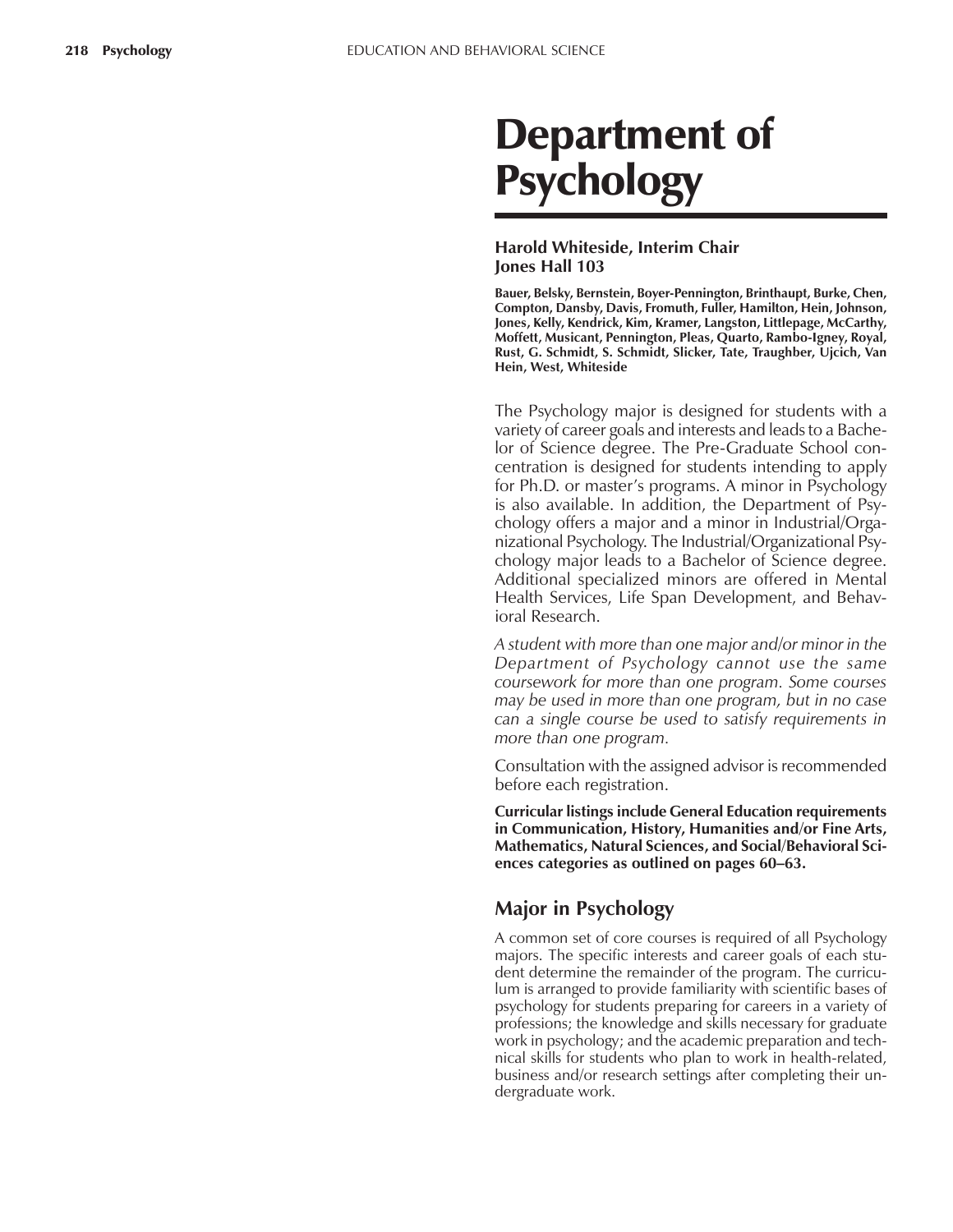# Department of **Psychology**

#### **Harold Whiteside, Interim Chair Jones Hall 103**

**Bauer, Belsky, Bernstein, Boyer-Pennington, Brinthaupt, Burke, Chen, Compton, Dansby, Davis, Fromuth, Fuller, Hamilton, Hein, Johnson, Jones, Kelly, Kendrick, Kim, Kramer, Langston, Littlepage, McCarthy, Moffett, Musicant, Pennington, Pleas, Quarto, Rambo-Igney, Royal, Rust, G. Schmidt, S. Schmidt, Slicker, Tate, Traughber, Ujcich, Van Hein, West, Whiteside**

The Psychology major is designed for students with a variety of career goals and interests and leads to a Bachelor of Science degree. The Pre-Graduate School concentration is designed for students intending to apply for Ph.D. or master's programs. A minor in Psychology is also available. In addition, the Department of Psychology offers a major and a minor in Industrial/Organizational Psychology. The Industrial/Organizational Psychology major leads to a Bachelor of Science degree. Additional specialized minors are offered in Mental Health Services, Life Span Development, and Behavioral Research.

*A student with more than one major and/or minor in the Department of Psychology cannot use the same coursework for more than one program. Some courses may be used in more than one program, but in no case can a single course be used to satisfy requirements in more than one program.*

Consultation with the assigned advisor is recommended before each registration.

**Curricular listings include General Education requirements in Communication, History, Humanities and/or Fine Arts, Mathematics, Natural Sciences, and Social/Behavioral Sci**ences categories as outlined on pages 60-63.

# **Major in Psychology**

A common set of core courses is required of all Psychology majors. The specific interests and career goals of each student determine the remainder of the program. The curriculum is arranged to provide familiarity with scientific bases of psychology for students preparing for careers in a variety of professions; the knowledge and skills necessary for graduate work in psychology; and the academic preparation and technical skills for students who plan to work in health-related, business and/or research settings after completing their undergraduate work.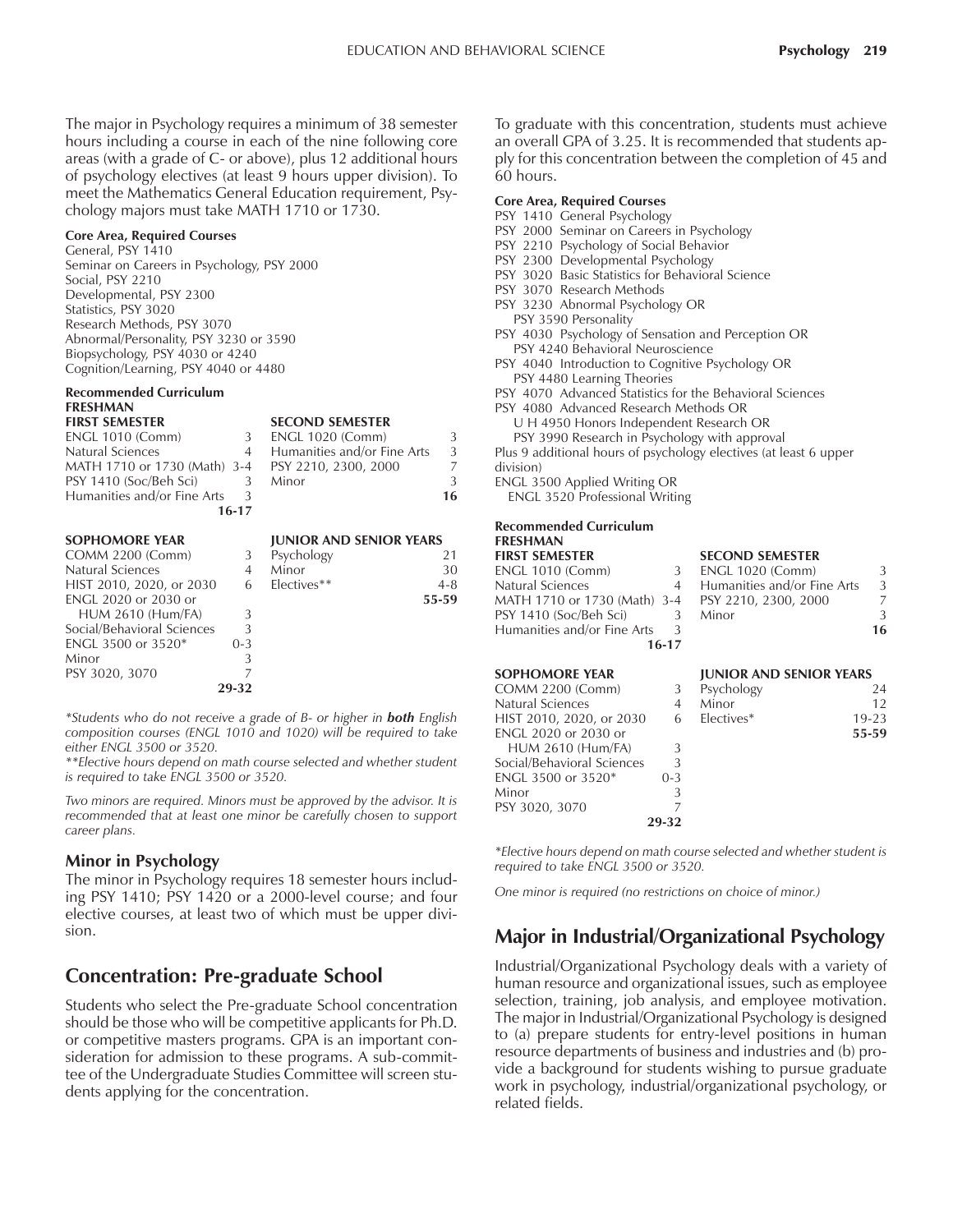The major in Psychology requires a minimum of 38 semester hours including a course in each of the nine following core areas (with a grade of C- or above), plus 12 additional hours of psychology electives (at least 9 hours upper division). To meet the Mathematics General Education requirement, Psychology majors must take MATH 1710 or 1730.

#### **Core Area, Required Courses**

General, PSY 1410 Seminar on Careers in Psychology, PSY 2000 Social, PSY 2210 Developmental, PSY 2300 Statistics, PSY 3020 Research Methods, PSY 3070 Abnormal/Personality, PSY 3230 or 3590 Biopsychology, PSY 4030 or 4240 Cognition/Learning, PSY 4040 or 4480

### **Recommended Curriculum FRESHMAN**

| <b>FIRST SEMESTER</b>                                |       | <b>SECOND SEMESTER</b>      |               |
|------------------------------------------------------|-------|-----------------------------|---------------|
| ENGL 1010 (Comm)                                     |       | <b>ENGL 1020 (Comm)</b>     |               |
| Natural Sciences                                     |       | Humanities and/or Fine Arts | $\mathcal{L}$ |
| MATH 1710 or 1730 (Math) 3-4    PSY 2210, 2300, 2000 |       |                             |               |
| PSY 1410 (Soc/Beh Sci)                               | 3     | Minor                       | $\mathcal{L}$ |
| Humanities and/or Fine Arts                          | -3    |                             | 16            |
|                                                      | 16-17 |                             |               |

| <b>SOPHOMORE YEAR</b>      |         | <b>JUNIOR AND SENIOR YEARS</b> |         |
|----------------------------|---------|--------------------------------|---------|
| <b>COMM 2200 (Comm)</b>    | 3       | Psychology                     | 21      |
| Natural Sciences           | 4       | Minor                          | 30      |
| HIST 2010, 2020, or 2030   | 6       | Electives**                    | $4 - 8$ |
| ENGL 2020 or 2030 or       |         |                                | 55-59   |
| <b>HUM 2610 (Hum/FA)</b>   | 3       |                                |         |
| Social/Behavioral Sciences | 3       |                                |         |
| <b>ENGL 3500 or 3520*</b>  | $0 - 3$ |                                |         |
| Minor                      | 3       |                                |         |
| PSY 3020, 3070             |         |                                |         |
|                            | 29-32   |                                |         |

*\*Students who do not receive a grade of B- or higher in both English composition courses (ENGL 1010 and 1020) will be required to take either ENGL 3500 or 3520.*

*\*\*Elective hours depend on math course selected and whether student is required to take ENGL 3500 or 3520.*

*Two minors are required. Minors must be approved by the advisor. It is recommended that at least one minor be carefully chosen to support career plans.*

#### **Minor in Psychology**

The minor in Psychology requires 18 semester hours including PSY 1410; PSY 1420 or a 2000-level course; and four elective courses, at least two of which must be upper division.

# **Concentration: Pre-graduate School**

Students who select the Pre-graduate School concentration should be those who will be competitive applicants for Ph.D. or competitive masters programs. GPA is an important consideration for admission to these programs. A sub-committee of the Undergraduate Studies Committee will screen students applying for the concentration.

To graduate with this concentration, students must achieve an overall GPA of 3.25. It is recommended that students apply for this concentration between the completion of 45 and 60 hours.

#### **Core Area, Required Courses**

- PSY 1410 General Psychology
- PSY 2000 Seminar on Careers in Psychology
- PSY 2210 Psychology of Social Behavior
- PSY 2300 Developmental Psychology
- PSY 3020 Basic Statistics for Behavioral Science
- PSY 3070 Research Methods
- PSY 3230 Abnormal Psychology OR
- PSY 3590 Personality
- PSY 4030 Psychology of Sensation and Perception OR PSY 4240 Behavioral Neuroscience
- PSY 4040 Introduction to Cognitive Psychology OR PSY 4480 Learning Theories
- PSY 4070 Advanced Statistics for the Behavioral Sciences
- PSY 4080 Advanced Research Methods OR
	- U H 4950 Honors Independent Research OR

PSY 3990 Research in Psychology with approval Plus 9 additional hours of psychology electives (at least 6 upper division)

ENGL 3500 Applied Writing OR

ENGL 3520 Professional Writing

#### **Recommended Curriculum FRESHMAN FIRST SEMESTER SECOND SEALESTED**

| IINJI JLIVILJILIN                                 |           | <b>JLUUIND JLIVILJTEN</b>     |    |
|---------------------------------------------------|-----------|-------------------------------|----|
| <b>ENGL 1010 (Comm)</b>                           | 3         | ENGL 1020 (Comm)              | 3  |
| Natural Sciences                                  |           | 4 Humanities and/or Fine Arts | 3  |
| MATH 1710 or 1730 (Math) 3-4 PSY 2210, 2300, 2000 |           |                               |    |
| PSY 1410 (Soc/Beh Sci)                            | 3         | Minor                         | 3  |
| Humanities and/or Fine Arts                       |           |                               | 16 |
|                                                   | $16 - 17$ |                               |    |

| COMM 2200 (Comm)            |         | Psychology | 24        |
|-----------------------------|---------|------------|-----------|
| Natural Sciences            |         | Minor      | 12        |
| HIST 2010, 2020, or 2030    | 6       | Electives* | $19 - 23$ |
| <b>ENGL 2020 or 2030 or</b> |         |            | 55-59     |
| <b>HUM 2610 (Hum/FA)</b>    | 3       |            |           |
| Social/Behavioral Sciences  | 3       |            |           |
| ENGL 3500 or 3520*          | $0 - 3$ |            |           |
| Minor                       | 3       |            |           |
| PSY 3020, 3070              |         |            |           |
|                             | 29-32   |            |           |

#### **SOPHOMORE YEAR JUNIOR AND SENIOR YEARS** Psychology 24

| $\cdots$ |           |
|----------|-----------|
| or       | 12        |
| tives*   | $19 - 23$ |
|          | 55-59     |
|          |           |

*\*Elective hours depend on math course selected and whether student is required to take ENGL 3500 or 3520.*

*One minor is required (no restrictions on choice of minor.)*

# **Major in Industrial/Organizational Psychology**

Industrial/Organizational Psychology deals with a variety of human resource and organizational issues, such as employee selection, training, job analysis, and employee motivation. The major in Industrial/Organizational Psychology is designed to (a) prepare students for entry-level positions in human resource departments of business and industries and (b) provide a background for students wishing to pursue graduate work in psychology, industrial/organizational psychology, or related fields.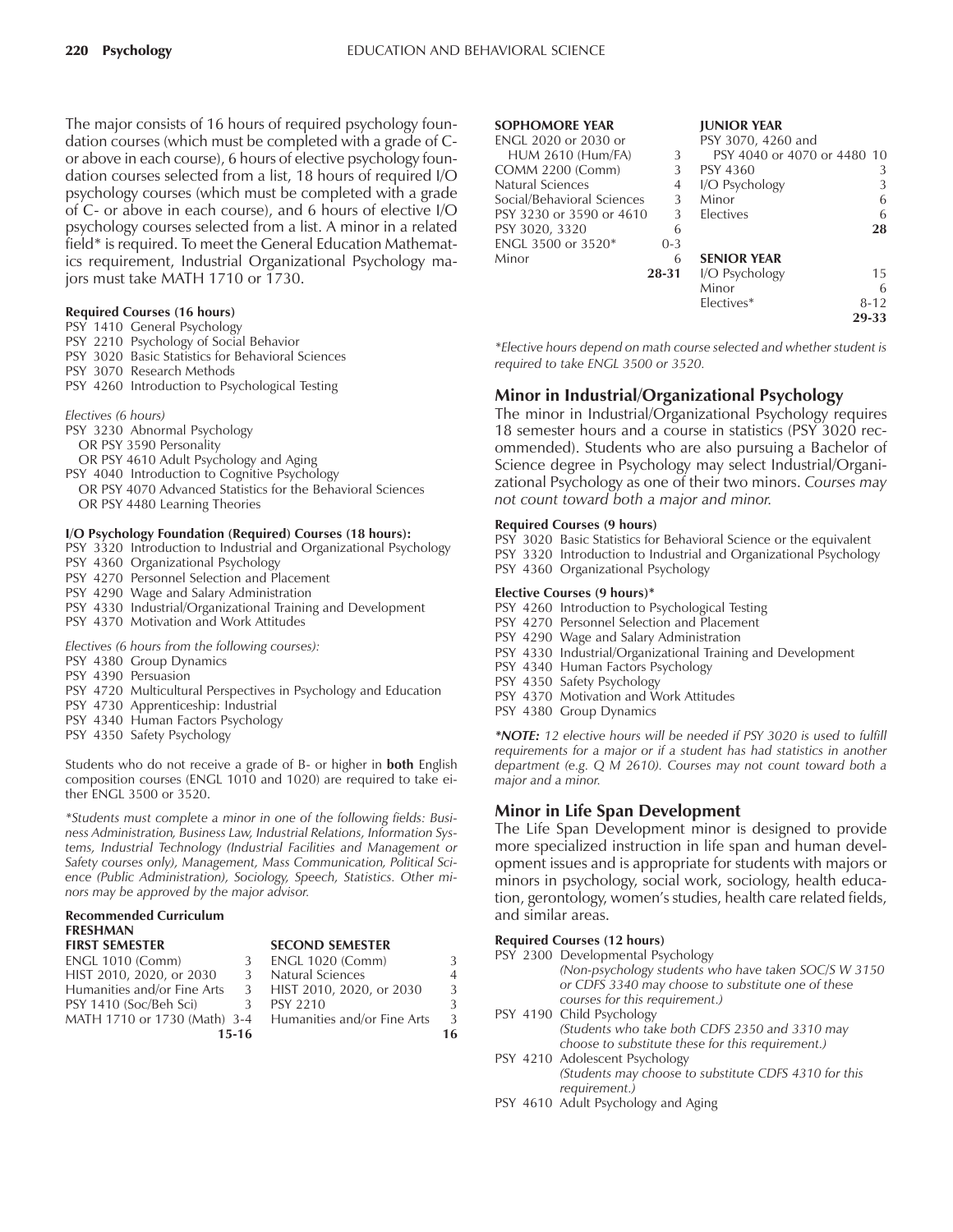The major consists of 16 hours of required psychology foundation courses (which must be completed with a grade of Cor above in each course), 6 hours of elective psychology foundation courses selected from a list, 18 hours of required I/O psychology courses (which must be completed with a grade of C- or above in each course), and 6 hours of elective I/O psychology courses selected from a list. A minor in a related field\* is required. To meet the General Education Mathematics requirement, Industrial Organizational Psychology majors must take MATH 1710 or 1730.

#### **Required Courses (16 hours)**

- PSY 1410 General Psychology
- PSY 2210 Psychology of Social Behavior
- PSY 3020 Basic Statistics for Behavioral Sciences
- PSY 3070 Research Methods
- PSY 4260 Introduction to Psychological Testing
- *Electives (6 hours)*
- PSY 3230 Abnormal Psychology
- OR PSY 3590 Personality
- OR PSY 4610 Adult Psychology and Aging
- PSY 4040 Introduction to Cognitive Psychology
- OR PSY 4070 Advanced Statistics for the Behavioral Sciences OR PSY 4480 Learning Theories

#### **I/O Psychology Foundation (Required) Courses (18 hours):**

- PSY 3320 Introduction to Industrial and Organizational Psychology
- PSY 4360 Organizational Psychology
- PSY 4270 Personnel Selection and Placement
- PSY 4290 Wage and Salary Administration
- PSY 4330 Industrial/Organizational Training and Development
- PSY 4370 Motivation and Work Attitudes

*Electives (6 hours from the following courses):*

- PSY 4380 Group Dynamics
- PSY 4390 Persuasion
- PSY 4720 Multicultural Perspectives in Psychology and Education
- PSY 4730 Apprenticeship: Industrial
- PSY 4340 Human Factors Psychology
- PSY 4350 Safety Psychology

Students who do not receive a grade of B- or higher in **both** English composition courses (ENGL 1010 and 1020) are required to take either ENGL 3500 or 3520.

*\*Students must complete a minor in one of the following fields: Business Administration, Business Law, Industrial Relations, Information Systems, Industrial Technology (Industrial Facilities and Management or Safety courses only), Management, Mass Communication, Political Science (Public Administration), Sociology, Speech, Statistics. Other minors may be approved by the major advisor.*

#### **Recommended Curriculum FRESHMAN**

|       | <b>SECUND SENIESTER</b> |                                                                                        |
|-------|-------------------------|----------------------------------------------------------------------------------------|
| -3-   | <b>ENGL 1020 (Comm)</b> | 3                                                                                      |
| -3-   | Natural Sciences        | 4                                                                                      |
|       |                         | 3                                                                                      |
| 3     | PSY 2210                | ₹                                                                                      |
|       |                         | $\mathcal{L}$                                                                          |
| 15-16 |                         | 16.                                                                                    |
|       |                         | 3 HIST 2010, 2020, or 2030<br>MATH 1710 or 1730 (Math) 3-4 Humanities and/or Fine Arts |

**EFCOND SEMESTER** 

#### **SOPHOMORE YEAR JUNIOR YEAR**

| ENGL 2020 or 2030 or       |           | PSY 3070, 4260 and          |          |
|----------------------------|-----------|-----------------------------|----------|
| <b>HUM 2610 (Hum/FA)</b>   | 3         | PSY 4040 or 4070 or 4480 10 |          |
| <b>COMM 2200 (Comm)</b>    | 3         | PSY 4360                    | 3        |
| Natural Sciences           | 4         | I/O Psychology              | 3        |
| Social/Behavioral Sciences | 3         | Minor                       | 6        |
| PSY 3230 or 3590 or 4610   | 3         | Electives                   | 6        |
| PSY 3020, 3320             | 6         |                             | 28       |
| ENGL 3500 or 3520*         | $0 - 3$   |                             |          |
| Minor                      | 6         | <b>SENIOR YEAR</b>          |          |
|                            | $28 - 31$ | I/O Psychology              | 15       |
|                            |           | Minor                       | 6        |
|                            |           | Electives*                  | $8 - 12$ |
|                            |           |                             | 29.33    |

*\*Elective hours depend on math course selected and whether student is required to take ENGL 3500 or 3520.*

#### **Minor in Industrial/Organizational Psychology**

The minor in Industrial/Organizational Psychology requires 18 semester hours and a course in statistics (PSY 3020 recommended). Students who are also pursuing a Bachelor of Science degree in Psychology may select Industrial/Organizational Psychology as one of their two minors. *Courses may not count toward both a major and minor.*

#### **Required Courses (9 hours)**

PSY 3020 Basic Statistics for Behavioral Science or the equivalent PSY 3320 Introduction to Industrial and Organizational Psychology PSY 4360 Organizational Psychology

#### **Elective Courses (9 hours)\***

- PSY 4260 Introduction to Psychological Testing
- PSY 4270 Personnel Selection and Placement
- PSY 4290 Wage and Salary Administration
- PSY 4330 Industrial/Organizational Training and Development
- PSY 4340 Human Factors Psychology
- PSY 4350 Safety Psychology
- PSY 4370 Motivation and Work Attitudes
- PSY 4380 Group Dynamics

*\*NOTE: 12 elective hours will be needed if PSY 3020 is used to fulfill requirements for a major or if a student has had statistics in another department (e.g. Q M 2610). Courses may not count toward both a major and a minor.*

#### **Minor in Life Span Development**

The Life Span Development minor is designed to provide more specialized instruction in life span and human development issues and is appropriate for students with majors or minors in psychology, social work, sociology, health education, gerontology, women's studies, health care related fields, and similar areas.

#### **Required Courses (12 hours)**

| PSY 2300 Developmental Psychology                     |
|-------------------------------------------------------|
| (Non-psychology students who have taken SOC/S W 3150  |
| or CDFS 3340 may choose to substitute one of these    |
| courses for this requirement.)                        |
| PSY 4190 Child Psychology                             |
| (Students who take both CDFS 2350 and 3310 may        |
| choose to substitute these for this requirement.)     |
| PSY 4210 Adolescent Psychology                        |
| (Students may choose to substitute CDFS 4310 for this |
| requirement.)                                         |

PSY 4610 Adult Psychology and Aging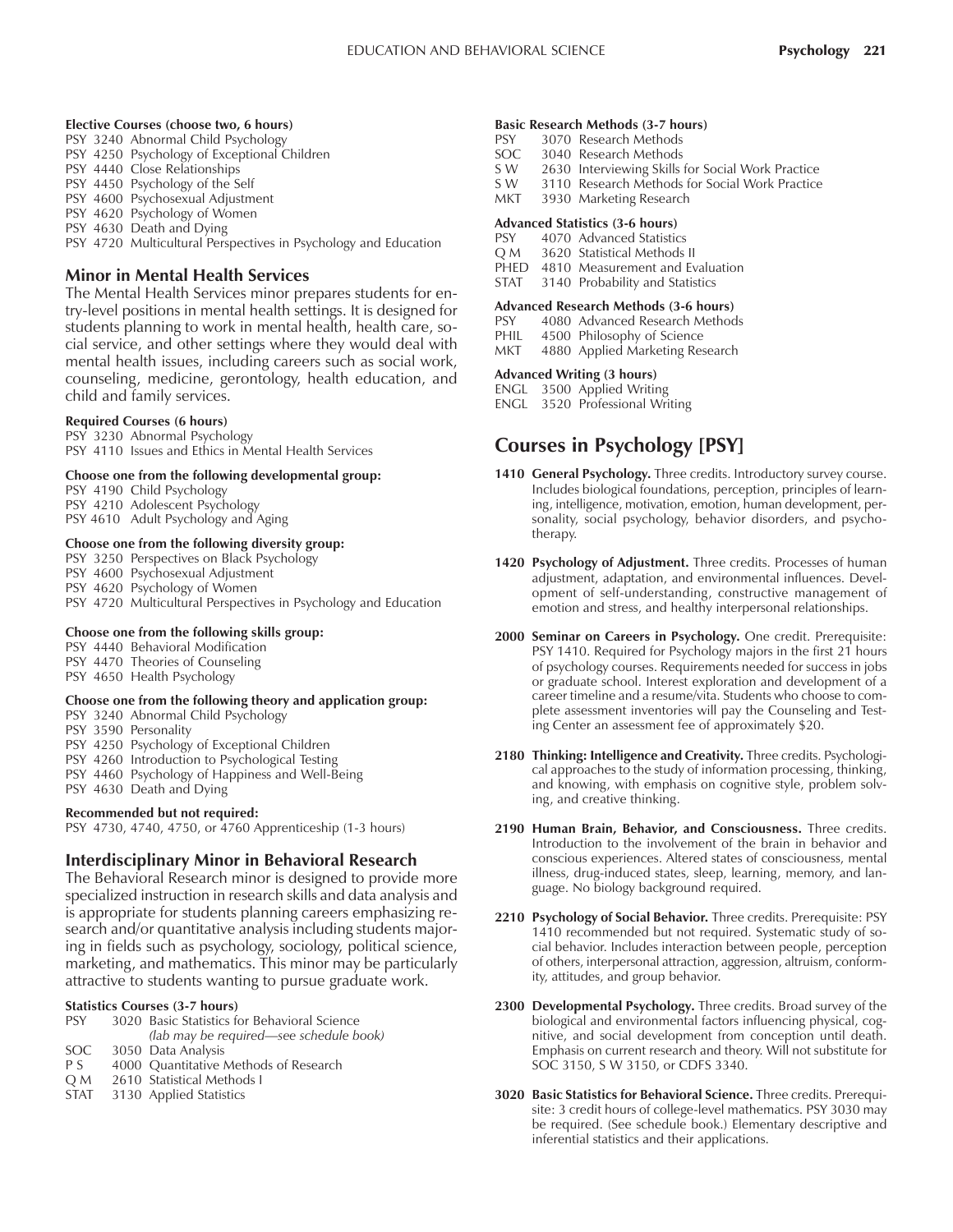#### **Elective Courses (choose two, 6 hours)**

- PSY 3240 Abnormal Child Psychology
- PSY 4250 Psychology of Exceptional Children
- PSY 4440 Close Relationships
- PSY 4450 Psychology of the Self
- PSY 4600 Psychosexual Adjustment
- PSY 4620 Psychology of Women
- PSY 4630 Death and Dying

PSY 4720 Multicultural Perspectives in Psychology and Education

#### **Minor in Mental Health Services**

The Mental Health Services minor prepares students for entry-level positions in mental health settings. It is designed for students planning to work in mental health, health care, social service, and other settings where they would deal with mental health issues, including careers such as social work, counseling, medicine, gerontology, health education, and child and family services.

#### **Required Courses (6 hours)**

PSY 3230 Abnormal Psychology PSY 4110 Issues and Ethics in Mental Health Services

#### **Choose one from the following developmental group:**

PSY 4190 Child Psychology PSY 4210 Adolescent Psychology PSY 4610 Adult Psychology and Aging

#### **Choose one from the following diversity group:**

- PSY 3250 Perspectives on Black Psychology
- PSY 4600 Psychosexual Adjustment
- PSY 4620 Psychology of Women
- PSY 4720 Multicultural Perspectives in Psychology and Education

#### **Choose one from the following skills group:**

PSY 4440 Behavioral Modification PSY 4470 Theories of Counseling PSY 4650 Health Psychology

#### **Choose one from the following theory and application group:**

- PSY 3240 Abnormal Child Psychology
- PSY 3590 Personality
- PSY 4250 Psychology of Exceptional Children
- PSY 4260 Introduction to Psychological Testing
- PSY 4460 Psychology of Happiness and Well-Being
- PSY 4630 Death and Dying

#### **Recommended but not required:**

PSY 4730, 4740, 4750, or 4760 Apprenticeship (1-3 hours)

#### **Interdisciplinary Minor in Behavioral Research**

The Behavioral Research minor is designed to provide more specialized instruction in research skills and data analysis and is appropriate for students planning careers emphasizing research and/or quantitative analysis including students majoring in fields such as psychology, sociology, political science, marketing, and mathematics. This minor may be particularly attractive to students wanting to pursue graduate work.

#### **Statistics Courses (3-7 hours)**

| <b>PSY</b>  | 3020 Basic Statistics for Behavioral Science |
|-------------|----------------------------------------------|
|             | (lab may be required—see schedule book)      |
| SOC.        | 3050 Data Analysis                           |
| P S         | 4000 Quantitative Methods of Research        |
| OM          | 2610 Statistical Methods I                   |
| <b>STAT</b> | 3130 Applied Statistics                      |

#### **Basic Research Methods (3-7 hours)**

- PSY 3070 Research Methods<br>SOC 3040 Research Methods
- SOC 3040 Research Methods<br>SW 2630 Interviewing Skills
- 2630 Interviewing Skills for Social Work Practice
- S W 3110 Research Methods for Social Work Practice
- MKT 3930 Marketing Research

#### **Advanced Statistics (3-6 hours)**

- PSY 4070 Advanced Statistics
- Q M 3620 Statistical Methods II
- PHED 4810 Measurement and Evaluation

# STAT 3140 Probability and Statistics

- **Advanced Research Methods (3-6 hours)**
- PSY 4080 Advanced Research Methods
- PHIL 4500 Philosophy of Science<br>MKT 4880 Applied Marketing Res
- 4880 Applied Marketing Research

#### **Advanced Writing (3 hours)**

- ENGL 3500 Applied Writing
- ENGL 3520 Professional Writing

## **Courses in Psychology [PSY]**

- **1410 General Psychology.** Three credits. Introductory survey course. Includes biological foundations, perception, principles of learning, intelligence, motivation, emotion, human development, personality, social psychology, behavior disorders, and psychotherapy.
- **1420 Psychology of Adjustment.** Three credits. Processes of human adjustment, adaptation, and environmental influences. Development of self-understanding, constructive management of emotion and stress, and healthy interpersonal relationships.
- **2000 Seminar on Careers in Psychology.** One credit. Prerequisite: PSY 1410. Required for Psychology majors in the first 21 hours of psychology courses. Requirements needed for success in jobs or graduate school. Interest exploration and development of a career timeline and a resume/vita. Students who choose to complete assessment inventories will pay the Counseling and Testing Center an assessment fee of approximately \$20.
- **2180 Thinking: Intelligence and Creativity.** Three credits. Psychological approaches to the study of information processing, thinking, and knowing, with emphasis on cognitive style, problem solving, and creative thinking.
- **2190 Human Brain, Behavior, and Consciousness.** Three credits. Introduction to the involvement of the brain in behavior and conscious experiences. Altered states of consciousness, mental illness, drug-induced states, sleep, learning, memory, and language. No biology background required.
- **2210 Psychology of Social Behavior.** Three credits. Prerequisite: PSY 1410 recommended but not required. Systematic study of social behavior. Includes interaction between people, perception of others, interpersonal attraction, aggression, altruism, conformity, attitudes, and group behavior.
- **2300 Developmental Psychology.** Three credits. Broad survey of the biological and environmental factors influencing physical, cognitive, and social development from conception until death. Emphasis on current research and theory. Will not substitute for SOC 3150, S W 3150, or CDFS 3340.
- **3020 Basic Statistics for Behavioral Science.** Three credits. Prerequisite: 3 credit hours of college-level mathematics. PSY 3030 may be required. (See schedule book.) Elementary descriptive and inferential statistics and their applications.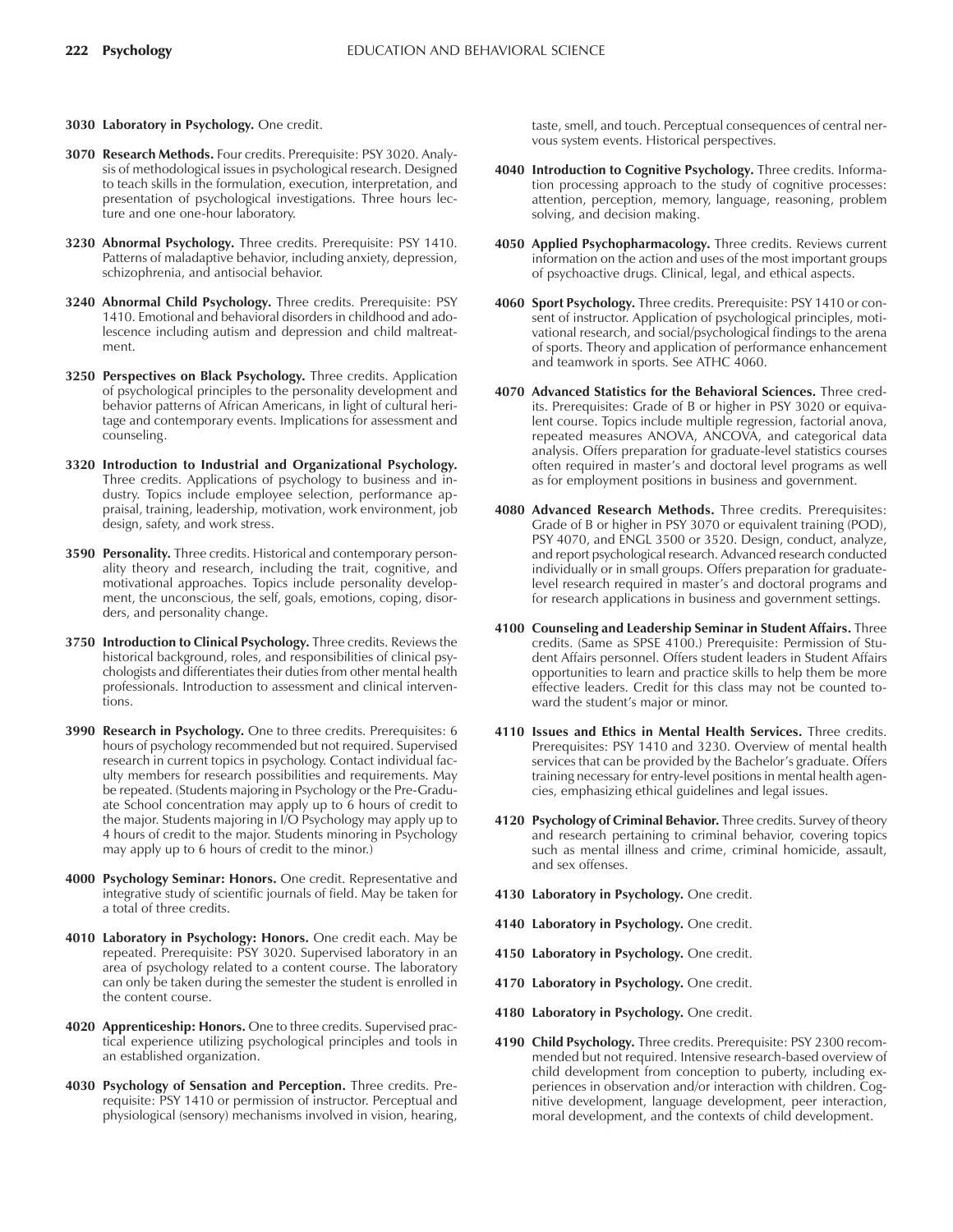- **3030 Laboratory in Psychology.** One credit.
- **3070 Research Methods.** Four credits. Prerequisite: PSY 3020. Analysis of methodological issues in psychological research. Designed to teach skills in the formulation, execution, interpretation, and presentation of psychological investigations. Three hours lecture and one one-hour laboratory.
- **3230 Abnormal Psychology.** Three credits. Prerequisite: PSY 1410. Patterns of maladaptive behavior, including anxiety, depression, schizophrenia, and antisocial behavior.
- **3240 Abnormal Child Psychology.** Three credits. Prerequisite: PSY 1410. Emotional and behavioral disorders in childhood and adolescence including autism and depression and child maltreatment.
- **3250 Perspectives on Black Psychology.** Three credits. Application of psychological principles to the personality development and behavior patterns of African Americans, in light of cultural heritage and contemporary events. Implications for assessment and counseling.
- **3320 Introduction to Industrial and Organizational Psychology.** Three credits. Applications of psychology to business and industry. Topics include employee selection, performance appraisal, training, leadership, motivation, work environment, job design, safety, and work stress.
- **3590 Personality.** Three credits. Historical and contemporary personality theory and research, including the trait, cognitive, and motivational approaches. Topics include personality development, the unconscious, the self, goals, emotions, coping, disorders, and personality change.
- **3750 Introduction to Clinical Psychology.** Three credits. Reviews the historical background, roles, and responsibilities of clinical psychologists and differentiates their duties from other mental health professionals. Introduction to assessment and clinical interventions.
- **3990 Research in Psychology.** One to three credits. Prerequisites: 6 hours of psychology recommended but not required. Supervised research in current topics in psychology. Contact individual faculty members for research possibilities and requirements. May be repeated. (Students majoring in Psychology or the Pre-Graduate School concentration may apply up to 6 hours of credit to the major. Students majoring in I/O Psychology may apply up to 4 hours of credit to the major. Students minoring in Psychology may apply up to 6 hours of credit to the minor.)
- **4000 Psychology Seminar: Honors.** One credit. Representative and integrative study of scientific journals of field. May be taken for a total of three credits.
- **4010 Laboratory in Psychology: Honors.** One credit each. May be repeated. Prerequisite: PSY 3020. Supervised laboratory in an area of psychology related to a content course. The laboratory can only be taken during the semester the student is enrolled in the content course.
- **4020 Apprenticeship: Honors.** One to three credits. Supervised practical experience utilizing psychological principles and tools in an established organization.
- **4030 Psychology of Sensation and Perception.** Three credits. Prerequisite: PSY 1410 or permission of instructor. Perceptual and physiological (sensory) mechanisms involved in vision, hearing,

taste, smell, and touch. Perceptual consequences of central nervous system events. Historical perspectives.

- **4040 Introduction to Cognitive Psychology.** Three credits. Information processing approach to the study of cognitive processes: attention, perception, memory, language, reasoning, problem solving, and decision making.
- **4050 Applied Psychopharmacology.** Three credits. Reviews current information on the action and uses of the most important groups of psychoactive drugs. Clinical, legal, and ethical aspects.
- **4060 Sport Psychology.** Three credits. Prerequisite: PSY 1410 or consent of instructor. Application of psychological principles, motivational research, and social/psychological findings to the arena of sports. Theory and application of performance enhancement and teamwork in sports. See ATHC 4060.
- **4070 Advanced Statistics for the Behavioral Sciences.** Three credits. Prerequisites: Grade of B or higher in PSY 3020 or equivalent course. Topics include multiple regression, factorial anova, repeated measures ANOVA, ANCOVA, and categorical data analysis. Offers preparation for graduate-level statistics courses often required in master's and doctoral level programs as well as for employment positions in business and government.
- **4080 Advanced Research Methods.** Three credits. Prerequisites: Grade of B or higher in PSY 3070 or equivalent training (POD), PSY 4070, and ENGL 3500 or 3520. Design, conduct, analyze, and report psychological research. Advanced research conducted individually or in small groups. Offers preparation for graduatelevel research required in master's and doctoral programs and for research applications in business and government settings.
- **4100 Counseling and Leadership Seminar in Student Affairs.** Three credits. (Same as SPSE 4100.) Prerequisite: Permission of Student Affairs personnel. Offers student leaders in Student Affairs opportunities to learn and practice skills to help them be more effective leaders. Credit for this class may not be counted toward the student's major or minor.
- **4110 Issues and Ethics in Mental Health Services.** Three credits. Prerequisites: PSY 1410 and 3230. Overview of mental health services that can be provided by the Bachelor's graduate. Offers training necessary for entry-level positions in mental health agencies, emphasizing ethical guidelines and legal issues.
- **4120 Psychology of Criminal Behavior.** Three credits. Survey of theory and research pertaining to criminal behavior, covering topics such as mental illness and crime, criminal homicide, assault, and sex offenses.
- **4130 Laboratory in Psychology.** One credit.
- **4140 Laboratory in Psychology.** One credit.
- **4150 Laboratory in Psychology.** One credit.
- **4170 Laboratory in Psychology.** One credit.
- **4180 Laboratory in Psychology.** One credit.
- **4190 Child Psychology.** Three credits. Prerequisite: PSY 2300 recommended but not required. Intensive research-based overview of child development from conception to puberty, including experiences in observation and/or interaction with children. Cognitive development, language development, peer interaction, moral development, and the contexts of child development.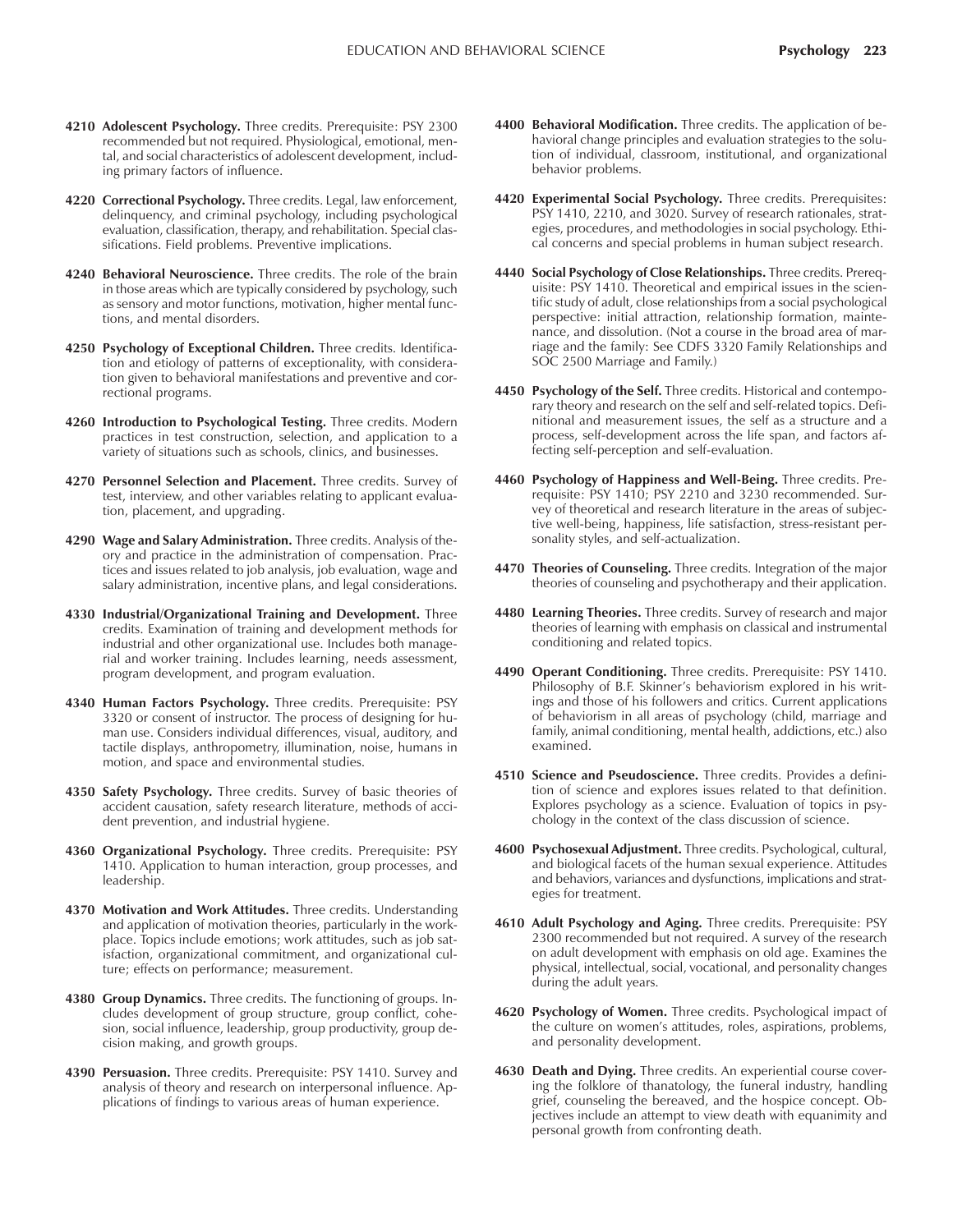- **4210 Adolescent Psychology.** Three credits. Prerequisite: PSY 2300 recommended but not required. Physiological, emotional, mental, and social characteristics of adolescent development, including primary factors of influence.
- **4220 Correctional Psychology.** Three credits. Legal, law enforcement, delinquency, and criminal psychology, including psychological evaluation, classification, therapy, and rehabilitation. Special classifications. Field problems. Preventive implications.
- **4240 Behavioral Neuroscience.** Three credits. The role of the brain in those areas which are typically considered by psychology, such as sensory and motor functions, motivation, higher mental functions, and mental disorders.
- **4250 Psychology of Exceptional Children.** Three credits. Identification and etiology of patterns of exceptionality, with consideration given to behavioral manifestations and preventive and correctional programs.
- **4260 Introduction to Psychological Testing.** Three credits. Modern practices in test construction, selection, and application to a variety of situations such as schools, clinics, and businesses.
- **4270 Personnel Selection and Placement.** Three credits. Survey of test, interview, and other variables relating to applicant evaluation, placement, and upgrading.
- **4290 Wage and Salary Administration.** Three credits. Analysis of theory and practice in the administration of compensation. Practices and issues related to job analysis, job evaluation, wage and salary administration, incentive plans, and legal considerations.
- **4330 Industrial/Organizational Training and Development.** Three credits. Examination of training and development methods for industrial and other organizational use. Includes both managerial and worker training. Includes learning, needs assessment, program development, and program evaluation.
- **4340 Human Factors Psychology.** Three credits. Prerequisite: PSY 3320 or consent of instructor. The process of designing for human use. Considers individual differences, visual, auditory, and tactile displays, anthropometry, illumination, noise, humans in motion, and space and environmental studies.
- **4350 Safety Psychology.** Three credits. Survey of basic theories of accident causation, safety research literature, methods of accident prevention, and industrial hygiene.
- **4360 Organizational Psychology.** Three credits. Prerequisite: PSY 1410. Application to human interaction, group processes, and leadership.
- **4370 Motivation and Work Attitudes.** Three credits. Understanding and application of motivation theories, particularly in the workplace. Topics include emotions; work attitudes, such as job satisfaction, organizational commitment, and organizational culture; effects on performance; measurement.
- **4380 Group Dynamics.** Three credits. The functioning of groups. Includes development of group structure, group conflict, cohesion, social influence, leadership, group productivity, group decision making, and growth groups.
- **4390 Persuasion.** Three credits. Prerequisite: PSY 1410. Survey and analysis of theory and research on interpersonal influence. Applications of findings to various areas of human experience.
- **4400 Behavioral Modification.** Three credits. The application of behavioral change principles and evaluation strategies to the solution of individual, classroom, institutional, and organizational behavior problems.
- **4420 Experimental Social Psychology.** Three credits. Prerequisites: PSY 1410, 2210, and 3020. Survey of research rationales, strategies, procedures, and methodologies in social psychology. Ethical concerns and special problems in human subject research.
- **4440 Social Psychology of Close Relationships.** Three credits. Prerequisite: PSY 1410. Theoretical and empirical issues in the scientific study of adult, close relationships from a social psychological perspective: initial attraction, relationship formation, maintenance, and dissolution. (Not a course in the broad area of marriage and the family: See CDFS 3320 Family Relationships and SOC 2500 Marriage and Family.)
- **4450 Psychology of the Self.** Three credits. Historical and contemporary theory and research on the self and self-related topics. Definitional and measurement issues, the self as a structure and a process, self-development across the life span, and factors affecting self-perception and self-evaluation.
- **4460 Psychology of Happiness and Well-Being.** Three credits. Prerequisite: PSY 1410; PSY 2210 and 3230 recommended. Survey of theoretical and research literature in the areas of subjective well-being, happiness, life satisfaction, stress-resistant personality styles, and self-actualization.
- **4470 Theories of Counseling.** Three credits. Integration of the major theories of counseling and psychotherapy and their application.
- **4480 Learning Theories.** Three credits. Survey of research and major theories of learning with emphasis on classical and instrumental conditioning and related topics.
- **4490 Operant Conditioning.** Three credits. Prerequisite: PSY 1410. Philosophy of B.F. Skinner's behaviorism explored in his writings and those of his followers and critics. Current applications of behaviorism in all areas of psychology (child, marriage and family, animal conditioning, mental health, addictions, etc.) also examined.
- **4510 Science and Pseudoscience.** Three credits. Provides a definition of science and explores issues related to that definition. Explores psychology as a science. Evaluation of topics in psychology in the context of the class discussion of science.
- **4600 Psychosexual Adjustment.** Three credits. Psychological, cultural, and biological facets of the human sexual experience. Attitudes and behaviors, variances and dysfunctions, implications and strategies for treatment.
- **4610 Adult Psychology and Aging.** Three credits. Prerequisite: PSY 2300 recommended but not required. A survey of the research on adult development with emphasis on old age. Examines the physical, intellectual, social, vocational, and personality changes during the adult years.
- **4620 Psychology of Women.** Three credits. Psychological impact of the culture on women's attitudes, roles, aspirations, problems, and personality development.
- **4630 Death and Dying.** Three credits. An experiential course covering the folklore of thanatology, the funeral industry, handling grief, counseling the bereaved, and the hospice concept. Objectives include an attempt to view death with equanimity and personal growth from confronting death.